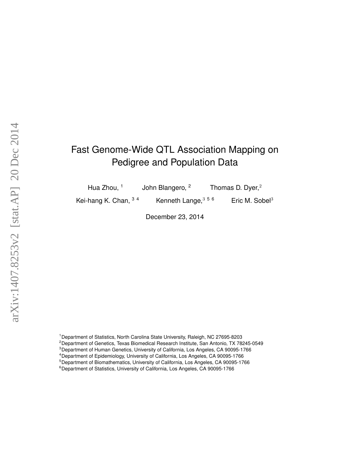# Fast Genome-Wide QTL Association Mapping on Pedigree and Population Data

Hua Zhou,  $1$  John Blangero,  $2$  Thomas D. Dyer,  $2$ Kei-hang K. Chan,  $3^4$  Kenneth Lange,  $3^5$ <sup>6</sup> Eric M. Sobel<sup>3</sup>

December 23, 2014

<sup>1</sup> Department of Statistics, North Carolina State University, Raleigh, NC 27695-8203

<sup>2</sup>Department of Genetics, Texas Biomedical Research Institute, San Antonio, TX 78245-0549

<sup>3</sup>Department of Human Genetics, University of California, Los Angeles, CA 90095-1766

<sup>4</sup>Department of Epidemiology, University of California, Los Angeles, CA 90095-1766

<sup>5</sup>Department of Biomathematics, University of California, Los Angeles, CA 90095-1766

<sup>&</sup>lt;sup>6</sup>Department of Statistics, University of California, Los Angeles, CA 90095-1766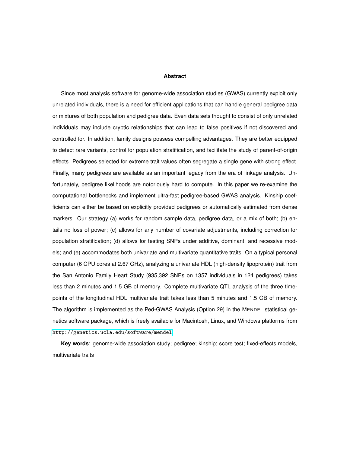#### **Abstract**

Since most analysis software for genome-wide association studies (GWAS) currently exploit only unrelated individuals, there is a need for efficient applications that can handle general pedigree data or mixtures of both population and pedigree data. Even data sets thought to consist of only unrelated individuals may include cryptic relationships that can lead to false positives if not discovered and controlled for. In addition, family designs possess compelling advantages. They are better equipped to detect rare variants, control for population stratification, and facilitate the study of parent-of-origin effects. Pedigrees selected for extreme trait values often segregate a single gene with strong effect. Finally, many pedigrees are available as an important legacy from the era of linkage analysis. Unfortunately, pedigree likelihoods are notoriously hard to compute. In this paper we re-examine the computational bottlenecks and implement ultra-fast pedigree-based GWAS analysis. Kinship coefficients can either be based on explicitly provided pedigrees or automatically estimated from dense markers. Our strategy (a) works for random sample data, pedigree data, or a mix of both; (b) entails no loss of power; (c) allows for any number of covariate adjustments, including correction for population stratification; (d) allows for testing SNPs under additive, dominant, and recessive models; and (e) accommodates both univariate and multivariate quantitative traits. On a typical personal computer (6 CPU cores at 2.67 GHz), analyzing a univariate HDL (high-density lipoprotein) trait from the San Antonio Family Heart Study (935,392 SNPs on 1357 individuals in 124 pedigrees) takes less than 2 minutes and 1.5 GB of memory. Complete multivariate QTL analysis of the three timepoints of the longitudinal HDL multivariate trait takes less than 5 minutes and 1.5 GB of memory. The algorithm is implemented as the Ped-GWAS Analysis (Option 29) in the MENDEL statistical genetics software package, which is freely available for Macintosh, Linux, and Windows platforms from <http://genetics.ucla.edu/software/mendel>.

**Key words**: genome-wide association study; pedigree; kinship; score test; fixed-effects models, multivariate traits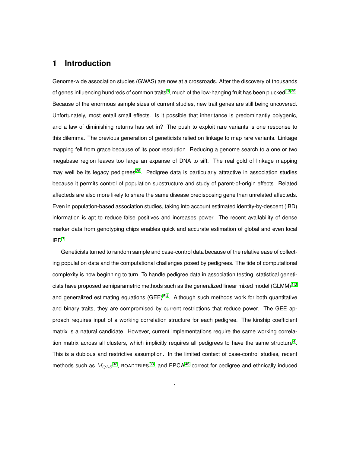## **1 Introduction**

Genome-wide association studies (GWAS) are now at a crossroads. After the discovery of thousands of genes influencing hundreds of common traits<sup>[9](#page-18-0)</sup>, much of the low-hanging fruit has been plucked  $^{13,36}$  $^{13,36}$  $^{13,36}$  $^{13,36}$ . Because of the enormous sample sizes of current studies, new trait genes are still being uncovered. Unfortunately, most entail small effects. Is it possible that inheritance is predominantly polygenic, and a law of diminishing returns has set in? The push to exploit rare variants is one response to this dilemma. The previous generation of geneticists relied on linkage to map rare variants. Linkage mapping fell from grace because of its poor resolution. Reducing a genome search to a one or two megabase region leaves too large an expanse of DNA to sift. The real gold of linkage mapping may well be its legacy pedigrees  $26$ . Pedigree data is particularly attractive in association studies because it permits control of population substructure and study of parent-of-origin effects. Related affecteds are also more likely to share the same disease predisposing gene than unrelated affecteds. Even in population-based association studies, taking into account estimated identity-by-descent (IBD) information is apt to reduce false positives and increases power. The recent availability of dense marker data from genotyping chips enables quick and accurate estimation of global and even local  $IBD<sup>7</sup>$  $IBD<sup>7</sup>$  $IBD<sup>7</sup>$ .

Geneticists turned to random sample and case-control data because of the relative ease of collecting population data and the computational challenges posed by pedigrees. The tide of computational complexity is now beginning to turn. To handle pedigree data in association testing, statistical geneti-cists have proposed semiparametric methods such as the generalized linear mixed model (GLMM)<sup>[1,](#page-17-0)[3](#page-17-1)</sup> and generalized estimating equations  $(GEE)^{5,4}$  $(GEE)^{5,4}$  $(GEE)^{5,4}$  $(GEE)^{5,4}$ . Although such methods work for both quantitative and binary traits, they are compromised by current restrictions that reduce power. The GEE approach requires input of a working correlation structure for each pedigree. The kinship coefficient matrix is a natural candidate. However, current implementations require the same working correla-tion matrix across all clusters, which implicitly requires all pedigrees to have the same structure<sup>[4](#page-18-3)</sup>. This is a dubious and restrictive assumption. In the limited context of case-control studies, recent methods such as  $M_{QLS}$ <sup>[32](#page-20-1)</sup>, <code>ROADTRIPS</code><sup>[33](#page-21-1)</sup>, and <code>FPCA[46](#page-22-0)</code> correct for pedigree and ethnically induced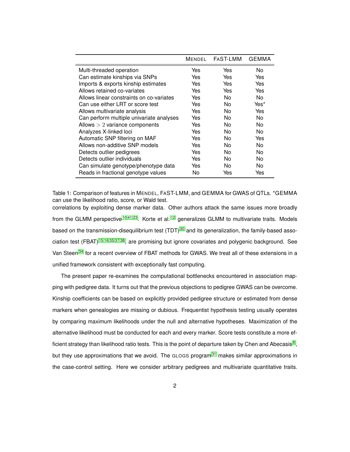|                                          | MENDEL | FAST-LMM | GEMMA |
|------------------------------------------|--------|----------|-------|
| Multi-threaded operation                 | Yes    | Yes      | No.   |
| Can estimate kinships via SNPs           | Yes    | Yes      | Yes   |
| Imports & exports kinship estimates      | Yes    | Yes      | Yes   |
| Allows retained co-variates              | Yes    | Yes      | Yes   |
| Allows linear constraints on co-variates | Yes    | No       | No.   |
| Can use either LRT or score test         | Yes    | No       | Yes*  |
| Allows multivariate analysis             | Yes    | No       | Yes   |
| Can perform multiple univariate analyses | Yes    | No       | No.   |
| Allows $> 2$ variance components         | Yes    | No       | No.   |
| Analyzes X-linked loci                   | Yes    | No       | No.   |
| Automatic SNP filtering on MAF           | Yes    | No       | Yes   |
| Allows non-additive SNP models           | Yes    | No       | No.   |
| Detects outlier pedigrees                | Yes    | No       | No.   |
| Detects outlier individuals              | Yes    | No       | No.   |
| Can simulate genotype/phenotype data     | Yes    | No       | No.   |
| Reads in fractional genotype values      | No.    | Yes      | Yes   |

<span id="page-3-0"></span>Table 1: Comparison of features in MENDEL, FAST-LMM, and GEMMA for GWAS of QTLs. \*GEMMA can use the likelihood ratio, score, or Wald test.

correlations by exploiting dense marker data. Other authors attack the same issues more broadly from the GLMM perspective<sup>[10](#page-18-4)[,41,](#page-21-2)[23](#page-20-2)</sup>. Korte et al.<sup>[12](#page-18-5)</sup> generalizes GLMM to multivariate traits. Models based on the transmission-disequilibrium test  $(TDT)^{30}$  $(TDT)^{30}$  $(TDT)^{30}$  and its generalization, the family-based association test (FBAT) [15](#page-19-1)[,16,](#page-19-2)[35](#page-21-3)[,37,](#page-21-4)[38](#page-21-5), are promising but ignore covariates and polygenic background. See Van Steen<sup>[34](#page-21-6)</sup> for a recent overview of FBAT methods for GWAS. We treat all of these extensions in a unified framework consistent with exceptionally fast computing.

The present paper re-examines the computational bottlenecks encountered in association mapping with pedigree data. It turns out that the previous objections to pedigree GWAS can be overcome. Kinship coefficients can be based on explicitly provided pedigree structure or estimated from dense markers when genealogies are missing or dubious. Frequentist hypothesis testing usually operates by comparing maximum likelihoods under the null and alternative hypotheses. Maximization of the alternative likelihood must be conducted for each and every marker. Score tests constitute a more ef-ficient strategy than likelihood ratio tests. This is the point of departure taken by Chen and Abecasis<sup>[6](#page-18-6)</sup>, but they use approximations that we avoid. The GLOGS program<sup>[31](#page-20-4)</sup> makes similar approximations in the case-control setting. Here we consider arbitrary pedigrees and multivariate quantitative traits.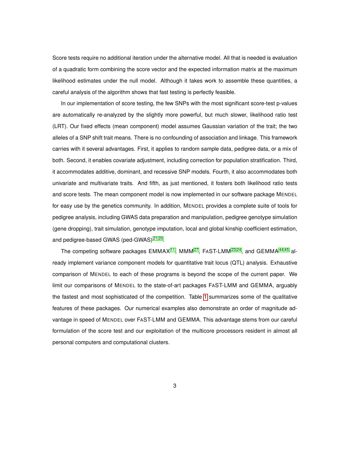Score tests require no additional iteration under the alternative model. All that is needed is evaluation of a quadratic form combining the score vector and the expected information matrix at the maximum likelihood estimates under the null model. Although it takes work to assemble these quantities, a careful analysis of the algorithm shows that fast testing is perfectly feasible.

In our implementation of score testing, the few SNPs with the most significant score-test p-values are automatically re-analyzed by the slightly more powerful, but much slower, likelihood ratio test (LRT). Our fixed effects (mean component) model assumes Gaussian variation of the trait; the two alleles of a SNP shift trait means. There is no confounding of association and linkage. This framework carries with it several advantages. First, it applies to random sample data, pedigree data, or a mix of both. Second, it enables covariate adjustment, including correction for population stratification. Third, it accommodates additive, dominant, and recessive SNP models. Fourth, it also accommodates both univariate and multivariate traits. And fifth, as just mentioned, it fosters both likelihood ratio tests and score tests. The mean component model is now implemented in our software package MENDEL for easy use by the genetics community. In addition, MENDEL provides a complete suite of tools for pedigree analysis, including GWAS data preparation and manipulation, pedigree genotype simulation (gene dropping), trait simulation, genotype imputation, local and global kinship coefficient estimation, and pedigree-based GWAS (ped-GWAS)<sup>[21](#page-19-3)[,20](#page-19-4)</sup>.

The competing software packages  $EMMAX^{11}$  $EMMAX^{11}$  $EMMAX^{11}$ ,  $MMM^{27}$  $MMM^{27}$  $MMM^{27}$ ,  $FAST-LMM^{23,24}$  $FAST-LMM^{23,24}$  $FAST-LMM^{23,24}$  $FAST-LMM^{23,24}$ , and  $GEMMA^{44,45}$  $GEMMA^{44,45}$  $GEMMA^{44,45}$  $GEMMA^{44,45}$  already implement variance component models for quantitative trait locus (QTL) analysis. Exhaustive comparison of MENDEL to each of these programs is beyond the scope of the current paper. We limit our comparisons of MENDEL to the state-of-art packages FAST-LMM and GEMMA, arguably the fastest and most sophisticated of the competition. Table [1](#page-3-0) summarizes some of the qualitative features of these packages. Our numerical examples also demonstrate an order of magnitude advantage in speed of MENDEL over FAST-LMM and GEMMA. This advantage stems from our careful formulation of the score test and our exploitation of the multicore processors resident in almost all personal computers and computational clusters.

3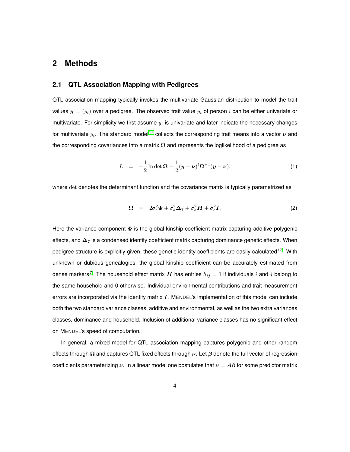# **2 Methods**

#### **2.1 QTL Association Mapping with Pedigrees**

QTL association mapping typically invokes the multivariate Gaussian distribution to model the trait values  $y = (y_i)$  over a pedigree. The observed trait value  $y_i$  of person i can be either univariate or multivariate. For simplicity we first assume  $y_i$  is univariate and later indicate the necessary changes for multivariate  $y_i$ . The standard model<sup>[17](#page-19-5)</sup> collects the corresponding trait means into a vector  $\boldsymbol{\nu}$  and the corresponding covariances into a matrix  $\Omega$  and represents the loglikelihood of a pedigree as

<span id="page-5-0"></span>
$$
L = -\frac{1}{2}\ln\det\Omega - \frac{1}{2}(\boldsymbol{y}-\boldsymbol{\nu})^t\Omega^{-1}(\boldsymbol{y}-\boldsymbol{\nu}),
$$
\n(1)

where det denotes the determinant function and the covariance matrix is typically parametrized as

<span id="page-5-1"></span>
$$
\Omega = 2\sigma_a^2 \Phi + \sigma_d^2 \Delta_7 + \sigma_h^2 H + \sigma_e^2 I. \tag{2}
$$

Here the variance component  $\Phi$  is the global kinship coefficient matrix capturing additive polygenic effects, and  $\Delta_7$  is a condensed identity coefficient matrix capturing dominance genetic effects. When pedigree structure is explicitly given, these genetic identity coefficients are easily calculated<sup>[17](#page-19-5)</sup>. With unknown or dubious genealogies, the global kinship coefficient can be accurately estimated from dense markers<sup>[7](#page-18-1)</sup>. The household effect matrix  $\bm{H}$  has entries  $h_{ij}=1$  if individuals  $i$  and  $j$  belong to the same household and 0 otherwise. Individual environmental contributions and trait measurement errors are incorporated via the identity matrix I. MENDEL's implementation of this model can include both the two standard variance classes, additive and environmental, as well as the two extra variances classes, dominance and household. Inclusion of additional variance classes has no significant effect on MENDEL's speed of computation.

In general, a mixed model for QTL association mapping captures polygenic and other random effects through  $\Omega$  and captures QTL fixed effects through  $\nu$ . Let  $\beta$  denote the full vector of regression coefficients parameterizing  $\nu$ . In a linear model one postulates that  $\nu = A\beta$  for some predictor matrix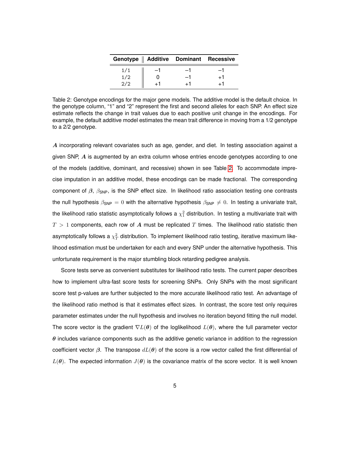|     |    | Genotype    Additive Dominant Recessive |     |
|-----|----|-----------------------------------------|-----|
| 1/1 | -1 | -- 1                                    | - 1 |
| 1/2 |    | -- 1                                    |     |
| 2/2 |    |                                         |     |

<span id="page-6-0"></span>Table 2: Genotype encodings for the major gene models. The additive model is the default choice. In the genotype column, "1" and "2" represent the first and second alleles for each SNP. An effect size estimate reflects the change in trait values due to each positive unit change in the encodings. For example, the default additive model estimates the mean trait difference in moving from a 1/2 genotype to a 2/2 genotype.

A incorporating relevant covariates such as age, gender, and diet. In testing association against a given SNP,  $A$  is augmented by an extra column whose entries encode genotypes according to one of the models (additive, dominant, and recessive) shown in see Table [2.](#page-6-0) To accommodate imprecise imputation in an additive model, these encodings can be made fractional. The corresponding component of  $\beta$ ,  $\beta_{\text{SNP}}$ , is the SNP effect size. In likelihood ratio association testing one contrasts the null hypothesis  $\beta_{SNP} = 0$  with the alternative hypothesis  $\beta_{SNP} \neq 0$ . In testing a univariate trait, the likelihood ratio statistic asymptotically follows a  $\chi_1^2$  distribution. In testing a multivariate trait with  $T > 1$  components, each row of A must be replicated T times. The likelihood ratio statistic then asymptotically follows a  $\chi^2_T$  distribution. To implement likelihood ratio testing, iterative maximum likelihood estimation must be undertaken for each and every SNP under the alternative hypothesis. This unfortunate requirement is the major stumbling block retarding pedigree analysis.

Score tests serve as convenient substitutes for likelihood ratio tests. The current paper describes how to implement ultra-fast score tests for screening SNPs. Only SNPs with the most significant score test p-values are further subjected to the more accurate likelihood ratio test. An advantage of the likelihood ratio method is that it estimates effect sizes. In contrast, the score test only requires parameter estimates under the null hypothesis and involves no iteration beyond fitting the null model. The score vector is the gradient  $\nabla L(\theta)$  of the loglikelihood  $L(\theta)$ , where the full parameter vector  $\theta$  includes variance components such as the additive genetic variance in addition to the regression coefficient vector  $\beta$ . The transpose  $dL(\theta)$  of the score is a row vector called the first differential of  $L(\theta)$ . The expected information  $J(\theta)$  is the covariance matrix of the score vector. It is well known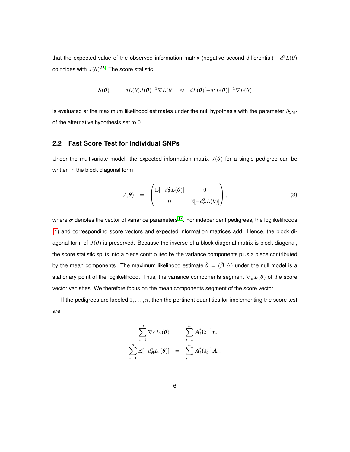that the expected value of the observed information matrix (negative second differential)  $-d^2L(\theta)$ coincides with  $J(\boldsymbol{\theta})^{28}$  $J(\boldsymbol{\theta})^{28}$  $J(\boldsymbol{\theta})^{28}$ . The score statistic

$$
S(\boldsymbol{\theta}) = dL(\boldsymbol{\theta})J(\boldsymbol{\theta})^{-1}\nabla L(\boldsymbol{\theta}) \approx dL(\boldsymbol{\theta})\left[-d^2L(\boldsymbol{\theta})\right]^{-1}\nabla L(\boldsymbol{\theta})
$$

is evaluated at the maximum likelihood estimates under the null hypothesis with the parameter  $\beta_{\text{SNP}}$ of the alternative hypothesis set to 0.

#### **2.2 Fast Score Test for Individual SNPs**

Under the multivariate model, the expected information matrix  $J(\theta)$  for a single pedigree can be written in the block diagonal form

$$
J(\boldsymbol{\theta}) = \begin{pmatrix} \mathbf{E}[-d_{\boldsymbol{\beta}}^2 L(\boldsymbol{\theta})] & 0 \\ 0 & \mathbf{E}[-d_{\boldsymbol{\sigma}}^2 L(\boldsymbol{\theta})] \end{pmatrix},
$$
(3)

where  $\sigma$  denotes the vector of variance parameters<sup>[17](#page-19-5)</sup>. For independent pedigrees, the loglikelihoods [\(1\)](#page-5-0) and corresponding score vectors and expected information matrices add. Hence, the block diagonal form of  $J(\theta)$  is preserved. Because the inverse of a block diagonal matrix is block diagonal, the score statistic splits into a piece contributed by the variance components plus a piece contributed by the mean components. The maximum likelihood estimate  $\hat{\theta} = (\hat{\beta}, \hat{\sigma})$  under the null model is a stationary point of the loglikelihood. Thus, the variance components segment  $\nabla_{\bm{\sigma}}L(\hat{\bm{\theta}})$  of the score vector vanishes. We therefore focus on the mean components segment of the score vector.

If the pedigrees are labeled  $1, \ldots, n$ , then the pertinent quantities for implementing the score test are

$$
\sum_{i=1}^n \nabla_{\boldsymbol{\beta}} L_i(\boldsymbol{\theta}) = \sum_{i=1}^n A_i^t \Omega_i^{-1} r_i
$$
  

$$
\sum_{i=1}^n \mathrm{E}[-d_{\boldsymbol{\beta}}^2 L_i(\boldsymbol{\theta})] = \sum_{i=1}^n A_i^t \Omega_i^{-1} A_i,
$$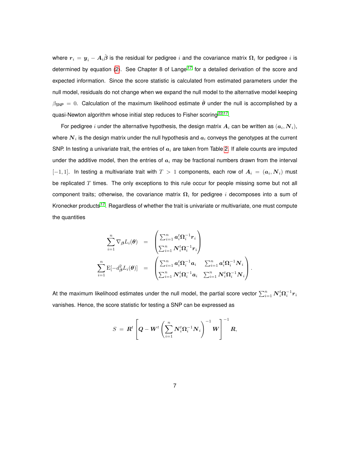where  $r_i=\bm{y}_i-A_i\hat{\bm{\beta}}$  is the residual for pedigree  $i$  and the covariance matrix  $\bm{\Omega}_i$  for pedigree  $i$  is determined by equation [\(2\)](#page-5-1). See Chapter 8 of Lange<sup>[17](#page-19-5)</sup> for a detailed derivation of the score and expected information. Since the score statistic is calculated from estimated parameters under the null model, residuals do not change when we expand the null model to the alternative model keeping  $\beta_{\text{SNP}} = 0$ . Calculation of the maximum likelihood estimate  $\hat{\theta}$  under the null is accomplished by a quasi-Newton algorithm whose initial step reduces to Fisher scoring<sup>[22](#page-19-6)[,17](#page-19-5)</sup>.

For pedigree  $i$  under the alternative hypothesis, the design matrix  $\bm{A}_i$  can be written as  $(\bm{a}_i, \bm{N}_i),$ where  $\boldsymbol{N}_i$  is the design matrix under the null hypothesis and  $\boldsymbol{a}_i$  conveys the genotypes at the current SNP. In testing a univariate trait, the entries of  $a_i$  are taken from Table [2.](#page-6-0) If allele counts are imputed under the additive model, then the entries of  $a_i$  may be fractional numbers drawn from the interval  $[-1,1]$ . In testing a multivariate trait with  $T\,>\,1$  components, each row of  $\boldsymbol{A}_i\,=\,(\boldsymbol{a}_i,\boldsymbol{N}_i)$  must be replicated  $T$  times. The only exceptions to this rule occur for people missing some but not all component traits; otherwise, the covariance matrix  $\bm{\Omega}_i$  for pedigree  $i$  decomposes into a sum of Kronecker products<sup>[17](#page-19-5)</sup>. Regardless of whether the trait is univariate or multivariate, one must compute the quantities

$$
\begin{array}{ccl} \displaystyle\sum_{i=1}^n \nabla_{\boldsymbol{\beta}}L_i(\boldsymbol{\theta}) & = & \displaystyle\left(\frac{\sum_{i=1}^n \boldsymbol{a}_i^t\boldsymbol{\Omega}_i^{-1}\boldsymbol{r}_i}{\sum_{i=1}^n \boldsymbol{N}_i^t\boldsymbol{\Omega}_i^{-1}\boldsymbol{r}_i}\right) \\ \displaystyle\sum_{i=1}^n \mathrm{E}[-d_{\boldsymbol{\beta}}^2L_i(\boldsymbol{\theta})] & = & \displaystyle\left(\frac{\sum_{i=1}^n \boldsymbol{a}_i^t\boldsymbol{\Omega}_i^{-1}\boldsymbol{a}_i}{\sum_{i=1}^n \boldsymbol{N}_i^t\boldsymbol{\Omega}_i^{-1}\boldsymbol{a}_i}\right. \hspace{3mm} \displaystyle\sum_{i=1}^n \boldsymbol{N}_i^t\boldsymbol{\Omega}_i^{-1}\boldsymbol{N}_i\right). \end{array}
$$

At the maximum likelihood estimates under the null model, the partial score vector  $\sum_{i=1}^n \bm{N}_i^t \bm{\Omega}_i^{-1} \bm{r}_i$ vanishes. Hence, the score statistic for testing a SNP can be expressed as

$$
S = \boldsymbol{R}^t \left[ \boldsymbol{Q} - \boldsymbol{W}^t \left( \sum_{i=1}^n \boldsymbol{N}_i^t \boldsymbol{\Omega}_i^{-1} \boldsymbol{N}_i \right)^{-1} \boldsymbol{W} \right]^{-1} \boldsymbol{R},
$$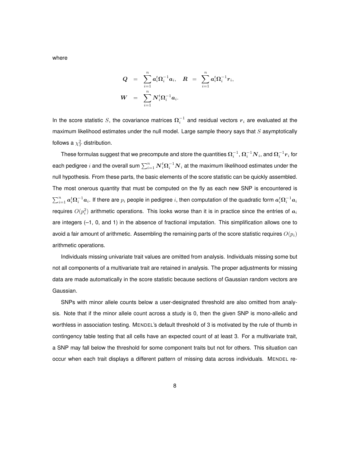$$
\begin{array}{ccl} \bm{Q} & = & \sum\limits_{i=1}^{n} \bm{a}_i^t \bm{\Omega}_i^{-1} \bm{a}_i, \quad \bm{R} & = & \sum\limits_{i=1}^{n} \bm{a}_i^t \bm{\Omega}_i^{-1} \bm{r}_i, \\ \bm{W} & = & \sum\limits_{i=1}^{n} \bm{N}_i^t \bm{\Omega}_i^{-1} \bm{a}_i. \end{array}
$$

In the score statistic S, the covariance matrices  $\boldsymbol{\Omega}_i^{-1}$  and residual vectors  $\boldsymbol{r}_i$  are evaluated at the maximum likelihood estimates under the null model. Large sample theory says that  $S$  asymptotically follows a  $\chi^2_T$  distribution.

These formulas suggest that we precompute and store the quantities  $\bm{\Omega}_i^{-1},\bm{\Omega}_i^{-1}\bm{N}_i,$  and  $\bm{\Omega}_i^{-1}\bm{r}_i$  for each pedigree  $i$  and the overall sum  $\sum_{i=1}^n \bm{N}_i^t \bm{\Omega}_i^{-1} \bm{N}_i$  at the maximum likelihood estimates under the null hypothesis. From these parts, the basic elements of the score statistic can be quickly assembled. The most onerous quantity that must be computed on the fly as each new SNP is encountered is  $\sum_{i=1}^n\bm{a}_i^t\bm{\Omega}_i^{-1}\bm{a}_i$ . If there are  $p_i$  people in pedigree  $i$ , then computation of the quadratic form  $\bm{a}_i^t\bm{\Omega}_i^{-1}\bm{a}_i$ requires  $O(p_i^2)$  arithmetic operations. This looks worse than it is in practice since the entries of  $\bm{a}_i$ are integers (–1, 0, and 1) in the absence of fractional imputation. This simplification allows one to avoid a fair amount of arithmetic. Assembling the remaining parts of the score statistic requires  $O(p_i)$ arithmetic operations.

Individuals missing univariate trait values are omitted from analysis. Individuals missing some but not all components of a multivariate trait are retained in analysis. The proper adjustments for missing data are made automatically in the score statistic because sections of Gaussian random vectors are Gaussian.

SNPs with minor allele counts below a user-designated threshold are also omitted from analysis. Note that if the minor allele count across a study is 0, then the given SNP is mono-allelic and worthless in association testing. MENDEL's default threshold of 3 is motivated by the rule of thumb in contingency table testing that all cells have an expected count of at least 3. For a multivariate trait, a SNP may fall below the threshold for some component traits but not for others. This situation can occur when each trait displays a different pattern of missing data across individuals. MENDEL re-

where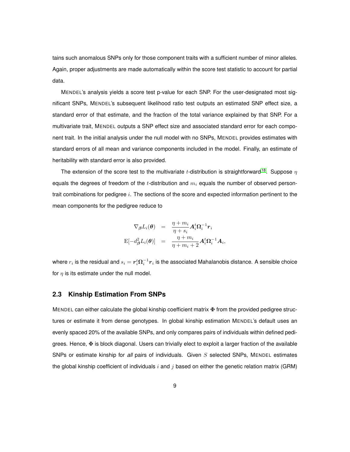tains such anomalous SNPs only for those component traits with a sufficient number of minor alleles. Again, proper adjustments are made automatically within the score test statistic to account for partial data.

MENDEL's analysis yields a score test p-value for each SNP. For the user-designated most significant SNPs, MENDEL's subsequent likelihood ratio test outputs an estimated SNP effect size, a standard error of that estimate, and the fraction of the total variance explained by that SNP. For a multivariate trait, MENDEL outputs a SNP effect size and associated standard error for each component trait. In the initial analysis under the null model with no SNPs, MENDEL provides estimates with standard errors of all mean and variance components included in the model. Finally, an estimate of heritability with standard error is also provided.

The extension of the score test to the multivariate t-distribution is straightforward<sup>[18](#page-19-7)</sup>. Suppose  $\eta$ equals the degrees of freedom of the *t*-distribution and  $m_i$  equals the number of observed persontrait combinations for pedigree  $i$ . The sections of the score and expected information pertinent to the mean components for the pedigree reduce to

$$
\nabla_{\boldsymbol{\beta}} L_i(\boldsymbol{\theta}) = \frac{\eta + m_i}{\eta + s_i} A_i^{\dagger} \Omega_i^{-1} r_i
$$
  

$$
E[-d_{\boldsymbol{\beta}}^2 L_i(\boldsymbol{\theta})] = \frac{\eta + m_i}{\eta + m_i + 2} A_i^{\dagger} \Omega_i^{-1} A_i,
$$

where  $r_i$  is the residual and  $s_i = r_i^t \Omega_i^{-1} r_i$  is the associated Mahalanobis distance. A sensible choice for  $\eta$  is its estimate under the null model.

#### **2.3 Kinship Estimation From SNPs**

MENDEL can either calculate the global kinship coefficient matrix Φ from the provided pedigree structures or estimate it from dense genotypes. In global kinship estimation MENDEL's default uses an evenly spaced 20% of the available SNPs, and only compares pairs of individuals within defined pedigrees. Hence, Φ is block diagonal. Users can trivially elect to exploit a larger fraction of the available SNPs or estimate kinship for *all* pairs of individuals. Given S selected SNPs, MENDEL estimates the global kinship coefficient of individuals  $i$  and  $j$  based on either the genetic relation matrix (GRM)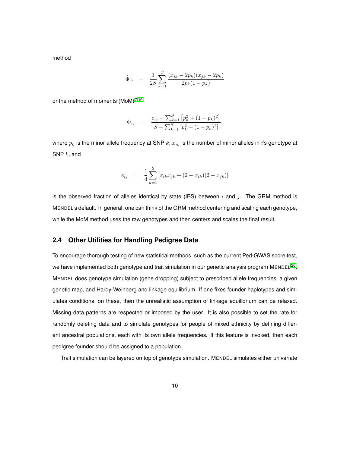method

$$
\hat{\Phi}_{ij} = \frac{1}{2S} \sum_{k=1}^{S} \frac{(x_{ik} - 2p_k)(x_{jk} - 2p_k)}{2p_k(1 - p_k)}
$$

or the method of moments  $(MoM)^{7,19}$  $(MoM)^{7,19}$  $(MoM)^{7,19}$  $(MoM)^{7,19}$ 

$$
\hat{\Phi}_{ij} = \frac{e_{ij} - \sum_{k=1}^{S} [p_k^2 + (1 - p_k)^2]}{S - \sum_{k=1}^{S} [p_k^2 + (1 - p_k)^2]},
$$

where  $p_k$  is the minor allele frequency at SNP  $k$ ,  $x_{ik}$  is the number of minor alleles in i's genotype at SNP  $k$ , and

$$
e_{ij} = \frac{1}{4} \sum_{k=1}^{S} \left[ x_{ik} x_{jk} + (2 - x_{ik})(2 - x_{jk}) \right]
$$

is the observed fraction of alleles identical by state (IBS) between i and j. The GRM method is MENDEL's default. In general, one can think of the GRM method centering and scaling each genotype, while the MoM method uses the raw genotypes and then centers and scales the final result.

#### **2.4 Other Utilities for Handling Pedigree Data**

To encourage thorough testing of new statistical methods, such as the current Ped-GWAS score test, we have implemented both genotype and trait simulation in our genetic analysis program MENDEL<sup>[20](#page-19-4)</sup>. MENDEL does genotype simulation (gene dropping) subject to prescribed allele frequencies, a given genetic map, and Hardy-Weinberg and linkage equilibrium. If one fixes founder haplotypes and simulates conditional on these, then the unrealistic assumption of linkage equilibrium can be relaxed. Missing data patterns are respected or imposed by the user. It is also possible to set the rate for randomly deleting data and to simulate genotypes for people of mixed ethnicity by defining different ancestral populations, each with its own allele frequencies. If this feature is invoked, then each pedigree founder should be assigned to a population.

Trait simulation can be layered on top of genotype simulation. MENDEL simulates either univariate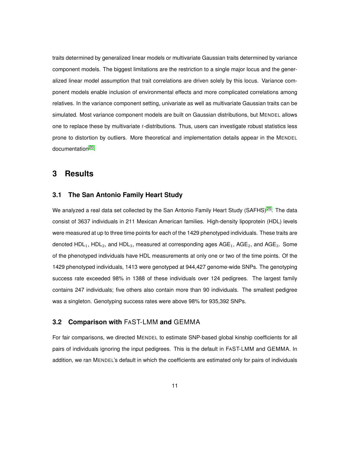traits determined by generalized linear models or multivariate Gaussian traits determined by variance component models. The biggest limitations are the restriction to a single major locus and the generalized linear model assumption that trait correlations are driven solely by this locus. Variance component models enable inclusion of environmental effects and more complicated correlations among relatives. In the variance component setting, univariate as well as multivariate Gaussian traits can be simulated. Most variance component models are built on Gaussian distributions, but MENDEL allows one to replace these by multivariate t-distributions. Thus, users can investigate robust statistics less prone to distortion by outliers. More theoretical and implementation details appear in the MENDEL documentation<sup>[20](#page-19-4)</sup>.

## **3 Results**

#### **3.1 The San Antonio Family Heart Study**

We analyzed a real data set collected by the San Antonio Family Heart Study (SAFHS)<sup>[25](#page-20-8)</sup>. The data consist of 3637 individuals in 211 Mexican American families. High-density lipoprotein (HDL) levels were measured at up to three time points for each of the 1429 phenotyped individuals. These traits are denoted  $HDL<sub>1</sub>$ ,  $HDL<sub>2</sub>$ , and  $HDL<sub>3</sub>$ , measured at corresponding ages  $AGE<sub>1</sub>$ ,  $AGE<sub>2</sub>$ , and  $AGE<sub>3</sub>$ . Some of the phenotyped individuals have HDL measurements at only one or two of the time points. Of the 1429 phenotyped individuals, 1413 were genotyped at 944,427 genome-wide SNPs. The genotyping success rate exceeded 98% in 1388 of these individuals over 124 pedigrees. The largest family contains 247 individuals; five others also contain more than 90 individuals. The smallest pedigree was a singleton. Genotyping success rates were above 98% for 935,392 SNPs.

#### **3.2 Comparison with** FAST-LMM **and** GEMMA

For fair comparisons, we directed MENDEL to estimate SNP-based global kinship coefficients for all pairs of individuals ignoring the input pedigrees. This is the default in FAST-LMM and GEMMA. In addition, we ran MENDEL's default in which the coefficients are estimated only for pairs of individuals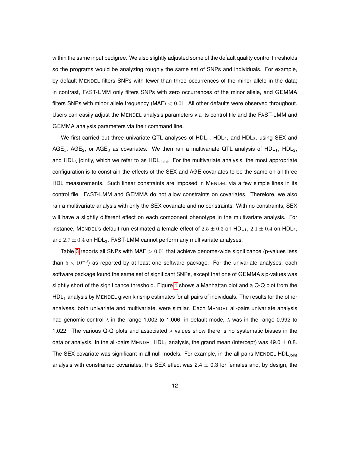within the same input pedigree. We also slightly adjusted some of the default quality control thresholds so the programs would be analyzing roughly the same set of SNPs and individuals. For example, by default MENDEL filters SNPs with fewer than three occurrences of the minor allele in the data; in contrast, FAST-LMM only filters SNPs with zero occurrences of the minor allele, and GEMMA filters SNPs with minor allele frequency  $(MAF) < 0.01$ . All other defaults were observed throughout. Users can easily adjust the MENDEL analysis parameters via its control file and the FAST-LMM and GEMMA analysis parameters via their command line.

We first carried out three univariate QTL analyses of  $HDL<sub>1</sub>$ ,  $HDL<sub>2</sub>$ , and  $HDL<sub>3</sub>$ , using SEX and AGE<sub>1</sub>, AGE<sub>2</sub>, or AGE<sub>3</sub> as covariates. We then ran a multivariate QTL analysis of HDL<sub>1</sub>, HDL<sub>2</sub>, and HDL $_3$  jointly, which we refer to as HDL $_{Joint}$ . For the multivariate analysis, the most appropriate configuration is to constrain the effects of the SEX and AGE covariates to be the same on all three HDL measurements. Such linear constraints are imposed in MENDEL via a few simple lines in its control file. FAST-LMM and GEMMA do not allow constraints on covariates. Therefore, we also ran a multivariate analysis with only the SEX covariate and no constraints. With no constraints, SEX will have a slightly different effect on each component phenotype in the multivariate analysis. For instance, MENDEL's default run estimated a female effect of  $2.5 \pm 0.3$  on HDL<sub>1</sub>,  $2.1 \pm 0.4$  on HDL<sub>2</sub>, and  $2.7 \pm 0.4$  on HDL<sub>3</sub>. FAST-LMM cannot perform any multivariate analyses.

Table [3](#page-23-0) reports all SNPs with MAF  $> 0.01$  that achieve genome-wide significance (p-values less than  $5 \times 10^{-8}$ ) as reported by at least one software package. For the univariate analyses, each software package found the same set of significant SNPs, except that one of GEMMA's p-values was slightly short of the significance threshold. Figure [1](#page-24-0) shows a Manhattan plot and a Q-Q plot from the  $HDL<sub>1</sub>$  analysis by MENDEL given kinship estimates for all pairs of individuals. The results for the other analyses, both univariate and multivariate, were similar. Each MENDEL all-pairs univariate analysis had genomic control  $\lambda$  in the range 1.002 to 1.006; in default mode,  $\lambda$  was in the range 0.992 to 1.022. The various Q-Q plots and associated  $\lambda$  values show there is no systematic biases in the data or analysis. In the all-pairs MENDEL HDL<sub>1</sub> analysis, the grand mean (intercept) was  $49.0 \pm 0.8$ . The SEX covariate was significant in all null models. For example, in the all-pairs MENDEL HDL<sub>Joint</sub> analysis with constrained covariates, the SEX effect was  $2.4 \pm 0.3$  for females and, by design, the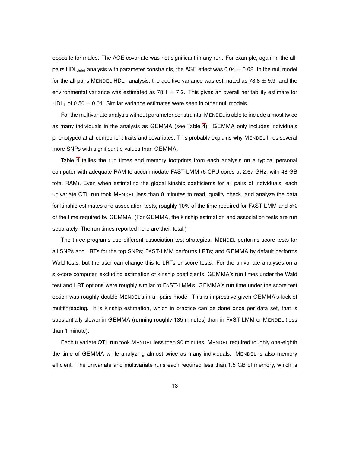opposite for males. The AGE covariate was not significant in any run. For example, again in the allpairs HDL<sub>Joint</sub> analysis with parameter constraints, the AGE effect was 0.04  $\pm$  0.02. In the null model for the all-pairs MENDEL HDL<sub>1</sub> analysis, the additive variance was estimated as 78.8  $\pm$  9.9, and the environmental variance was estimated as 78.1  $\pm$  7.2. This gives an overall heritability estimate for HDL<sub>1</sub> of 0.50  $\pm$  0.04. Similar variance estimates were seen in other null models.

For the multivariate analysis without parameter constraints, MENDEL is able to include almost twice as many individuals in the analysis as GEMMA (see Table [4\)](#page-25-0). GEMMA only includes individuals phenotyped at all component traits and covariates. This probably explains why MENDEL finds several more SNPs with significant p-values than GEMMA.

Table [4](#page-25-0) tallies the run times and memory footprints from each analysis on a typical personal computer with adequate RAM to accommodate FAST-LMM (6 CPU cores at 2.67 GHz, with 48 GB total RAM). Even when estimating the global kinship coefficients for all pairs of individuals, each univariate QTL run took MENDEL less than 8 minutes to read, quality check, and analyze the data for kinship estimates and association tests, roughly 10% of the time required for FAST-LMM and 5% of the time required by GEMMA. (For GEMMA, the kinship estimation and association tests are run separately. The run times reported here are their total.)

The three programs use different association test strategies: MENDEL performs score tests for all SNPs and LRTs for the top SNPs; FAST-LMM performs LRTs; and GEMMA by default performs Wald tests, but the user can change this to LRTs or score tests. For the univariate analyses on a six-core computer, excluding estimation of kinship coefficients, GEMMA's run times under the Wald test and LRT options were roughly similar to FAST-LMM's; GEMMA's run time under the score test option was roughly double MENDEL's in all-pairs mode. This is impressive given GEMMA's lack of multithreading. It is kinship estimation, which in practice can be done once per data set, that is substantially slower in GEMMA (running roughly 135 minutes) than in FAST-LMM or MENDEL (less than 1 minute).

Each trivariate QTL run took MENDEL less than 90 minutes. MENDEL required roughly one-eighth the time of GEMMA while analyzing almost twice as many individuals. MENDEL is also memory efficient. The univariate and multivariate runs each required less than 1.5 GB of memory, which is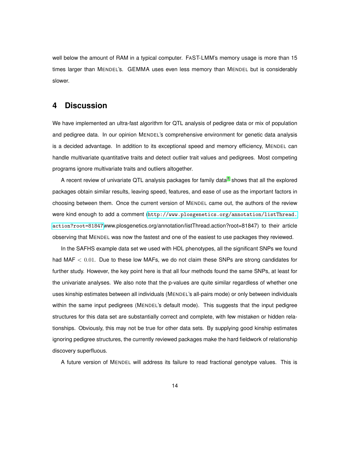well below the amount of RAM in a typical computer. FAST-LMM's memory usage is more than 15 times larger than MENDEL's. GEMMA uses even less memory than MENDEL but is considerably slower.

### **4 Discussion**

We have implemented an ultra-fast algorithm for QTL analysis of pedigree data or mix of population and pedigree data. In our opinion MENDEL's comprehensive environment for genetic data analysis is a decided advantage. In addition to its exceptional speed and memory efficiency, MENDEL can handle multivariate quantitative traits and detect outlier trait values and pedigrees. Most competing programs ignore multivariate traits and outliers altogether.

A recent review of univariate QTL analysis packages for family data $8$  shows that all the explored packages obtain similar results, leaving speed, features, and ease of use as the important factors in choosing between them. Once the current version of MENDEL came out, the authors of the review were kind enough to add a comment ([http://www.plosgenetics.org/annotation/listThread.](http://www.plosgenetics.org/annotation/listThread.action?root=81847) [action?root=81847](http://www.plosgenetics.org/annotation/listThread.action?root=81847)www.plosgenetics.org/annotation/listThread.action?root=81847) to their article observing that MENDEL was now the fastest and one of the easiest to use packages they reviewed.

In the SAFHS example data set we used with HDL phenotypes, all the significant SNPs we found had MAF  $<$  0.01. Due to these low MAFs, we do not claim these SNPs are strong candidates for further study. However, the key point here is that all four methods found the same SNPs, at least for the univariate analyses. We also note that the p-values are quite similar regardless of whether one uses kinship estimates between all individuals (MENDEL's all-pairs mode) or only between individuals within the same input pedigrees (MENDEL's default mode). This suggests that the input pedigree structures for this data set are substantially correct and complete, with few mistaken or hidden relationships. Obviously, this may not be true for other data sets. By supplying good kinship estimates ignoring pedigree structures, the currently reviewed packages make the hard fieldwork of relationship discovery superfluous.

A future version of MENDEL will address its failure to read fractional genotype values. This is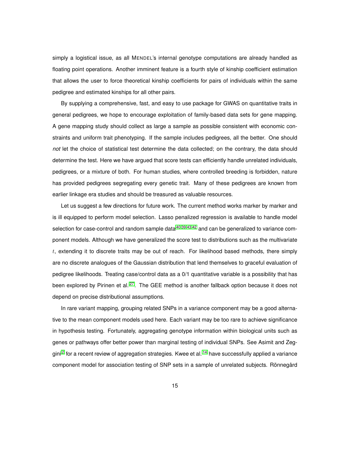simply a logistical issue, as all MENDEL's internal genotype computations are already handled as floating point operations. Another imminent feature is a fourth style of kinship coefficient estimation that allows the user to force theoretical kinship coefficients for pairs of individuals within the same pedigree and estimated kinships for all other pairs.

By supplying a comprehensive, fast, and easy to use package for GWAS on quantitative traits in general pedigrees, we hope to encourage exploitation of family-based data sets for gene mapping. A gene mapping study should collect as large a sample as possible consistent with economic constraints and uniform trait phenotyping. If the sample includes pedigrees, all the better. One should *not* let the choice of statistical test determine the data collected; on the contrary, the data should determine the test. Here we have argued that score tests can efficiently handle unrelated individuals, pedigrees, or a mixture of both. For human studies, where controlled breeding is forbidden, nature has provided pedigrees segregating every genetic trait. Many of these pedigrees are known from earlier linkage era studies and should be treasured as valuable resources.

Let us suggest a few directions for future work. The current method works marker by marker and is ill equipped to perform model selection. Lasso penalized regression is available to handle model selection for case-control and random sample data $40,39,43,42$  $40,39,43,42$  $40,39,43,42$  $40,39,43,42$  and can be generalized to variance component models. Although we have generalized the score test to distributions such as the multivariate  $t$ , extending it to discrete traits may be out of reach. For likelihood based methods, there simply are no discrete analogues of the Gaussian distribution that lend themselves to graceful evaluation of pedigree likelihoods. Treating case/control data as a 0/1 quantitative variable is a possibility that has been explored by Pirinen et al.<sup>[27](#page-20-5)</sup>. The GEE method is another fallback option because it does not depend on precise distributional assumptions.

In rare variant mapping, grouping related SNPs in a variance component may be a good alternative to the mean component models used here. Each variant may be too rare to achieve significance in hypothesis testing. Fortunately, aggregating genotype information within biological units such as genes or pathways offer better power than marginal testing of individual SNPs. See Asimit and Zeg-gini<sup>[2](#page-17-2)</sup> for a recent review of aggregation strategies. Kwee et al. <sup>[14](#page-19-9)</sup> have successfully applied a variance component model for association testing of SNP sets in a sample of unrelated subjects. Rönnegård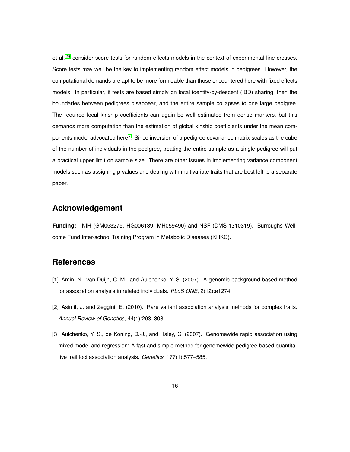et al.<sup>[29](#page-20-9)</sup> consider score tests for random effects models in the context of experimental line crosses. Score tests may well be the key to implementing random effect models in pedigrees. However, the computational demands are apt to be more formidable than those encountered here with fixed effects models. In particular, if tests are based simply on local identity-by-descent (IBD) sharing, then the boundaries between pedigrees disappear, and the entire sample collapses to one large pedigree. The required local kinship coefficients can again be well estimated from dense markers, but this demands more computation than the estimation of global kinship coefficients under the mean com-ponents model advocated here<sup>[7](#page-18-1)</sup>. Since inversion of a pedigree covariance matrix scales as the cube of the number of individuals in the pedigree, treating the entire sample as a single pedigree will put a practical upper limit on sample size. There are other issues in implementing variance component models such as assigning p-values and dealing with multivariate traits that are best left to a separate paper.

# **Acknowledgement**

**Funding:** NIH (GM053275, HG006139, MH059490) and NSF (DMS-1310319). Burroughs Wellcome Fund Inter-school Training Program in Metabolic Diseases (KHKC).

# **References**

- <span id="page-17-0"></span>[1] Amin, N., van Duijn, C. M., and Aulchenko, Y. S. (2007). A genomic background based method for association analysis in related individuals. *PLoS ONE*, 2(12):e1274.
- <span id="page-17-2"></span>[2] Asimit, J. and Zeggini, E. (2010). Rare variant association analysis methods for complex traits. *Annual Review of Genetics*, 44(1):293–308.
- <span id="page-17-1"></span>[3] Aulchenko, Y. S., de Koning, D.-J., and Haley, C. (2007). Genomewide rapid association using mixed model and regression: A fast and simple method for genomewide pedigree-based quantitative trait loci association analysis. *Genetics*, 177(1):577–585.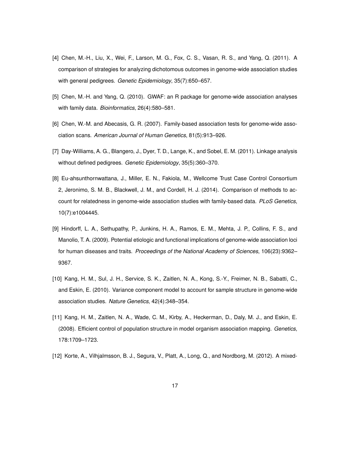- <span id="page-18-3"></span>[4] Chen, M.-H., Liu, X., Wei, F., Larson, M. G., Fox, C. S., Vasan, R. S., and Yang, Q. (2011). A comparison of strategies for analyzing dichotomous outcomes in genome-wide association studies with general pedigrees. *Genetic Epidemiology*, 35(7):650–657.
- <span id="page-18-2"></span>[5] Chen, M.-H. and Yang, Q. (2010). GWAF: an R package for genome-wide association analyses with family data. *Bioinformatics*, 26(4):580–581.
- <span id="page-18-6"></span>[6] Chen, W.-M. and Abecasis, G. R. (2007). Family-based association tests for genome-wide association scans. *American Journal of Human Genetics*, 81(5):913–926.
- <span id="page-18-1"></span>[7] Day-Williams, A. G., Blangero, J., Dyer, T. D., Lange, K., and Sobel, E. M. (2011). Linkage analysis without defined pedigrees. *Genetic Epidemiology*, 35(5):360–370.
- <span id="page-18-8"></span>[8] Eu-ahsunthornwattana, J., Miller, E. N., Fakiola, M., Wellcome Trust Case Control Consortium 2, Jeronimo, S. M. B., Blackwell, J. M., and Cordell, H. J. (2014). Comparison of methods to account for relatedness in genome-wide association studies with family-based data. *PLoS Genetics*, 10(7):e1004445.
- <span id="page-18-0"></span>[9] Hindorff, L. A., Sethupathy, P., Junkins, H. A., Ramos, E. M., Mehta, J. P., Collins, F. S., and Manolio, T. A. (2009). Potential etiologic and functional implications of genome-wide association loci for human diseases and traits. *Proceedings of the National Academy of Sciences*, 106(23):9362– 9367.
- <span id="page-18-4"></span>[10] Kang, H. M., Sul, J. H., Service, S. K., Zaitlen, N. A., Kong, S.-Y., Freimer, N. B., Sabatti, C., and Eskin, E. (2010). Variance component model to account for sample structure in genome-wide association studies. *Nature Genetics*, 42(4):348–354.
- <span id="page-18-7"></span>[11] Kang, H. M., Zaitlen, N. A., Wade, C. M., Kirby, A., Heckerman, D., Daly, M. J., and Eskin, E. (2008). Efficient control of population structure in model organism association mapping. *Genetics*, 178:1709–1723.
- <span id="page-18-5"></span>[12] Korte, A., Vilhjalmsson, B. J., Segura, V., Platt, A., Long, Q., and Nordborg, M. (2012). A mixed-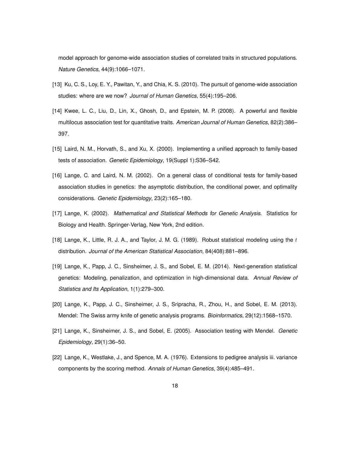model approach for genome-wide association studies of correlated traits in structured populations. *Nature Genetics*, 44(9):1066–1071.

- <span id="page-19-0"></span>[13] Ku, C. S., Loy, E. Y., Pawitan, Y., and Chia, K. S. (2010). The pursuit of genome-wide association studies: where are we now? *Journal of Human Genetics*, 55(4):195–206.
- <span id="page-19-9"></span>[14] Kwee, L. C., Liu, D., Lin, X., Ghosh, D., and Epstein, M. P. (2008). A powerful and flexible multilocus association test for quantitative traits. *American Journal of Human Genetics*, 82(2):386– 397.
- <span id="page-19-1"></span>[15] Laird, N. M., Horvath, S., and Xu, X. (2000). Implementing a unified approach to family-based tests of association. *Genetic Epidemiology*, 19(Suppl 1):S36–S42.
- <span id="page-19-2"></span>[16] Lange, C. and Laird, N. M. (2002). On a general class of conditional tests for family-based association studies in genetics: the asymptotic distribution, the conditional power, and optimality considerations. *Genetic Epidemiology*, 23(2):165–180.
- <span id="page-19-5"></span>[17] Lange, K. (2002). *Mathematical and Statistical Methods for Genetic Analysis*. Statistics for Biology and Health. Springer-Verlag, New York, 2nd edition.
- <span id="page-19-7"></span>[18] Lange, K., Little, R. J. A., and Taylor, J. M. G. (1989). Robust statistical modeling using the  $t$ distribution. *Journal of the American Statistical Association*, 84(408):881–896.
- <span id="page-19-8"></span>[19] Lange, K., Papp, J. C., Sinsheimer, J. S., and Sobel, E. M. (2014). Next-generation statistical genetics: Modeling, penalization, and optimization in high-dimensional data. *Annual Review of Statistics and Its Application*, 1(1):279–300.
- <span id="page-19-4"></span>[20] Lange, K., Papp, J. C., Sinsheimer, J. S., Sripracha, R., Zhou, H., and Sobel, E. M. (2013). Mendel: The Swiss army knife of genetic analysis programs. *Bioinformatics*, 29(12):1568–1570.
- <span id="page-19-3"></span>[21] Lange, K., Sinsheimer, J. S., and Sobel, E. (2005). Association testing with Mendel. *Genetic Epidemiology*, 29(1):36–50.
- <span id="page-19-6"></span>[22] Lange, K., Westlake, J., and Spence, M. A. (1976). Extensions to pedigree analysis iii. variance components by the scoring method. *Annals of Human Genetics*, 39(4):485–491.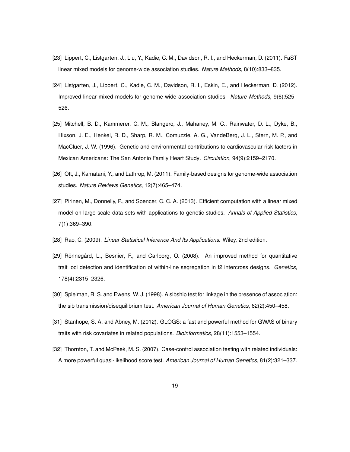- <span id="page-20-2"></span>[23] Lippert, C., Listgarten, J., Liu, Y., Kadie, C. M., Davidson, R. I., and Heckerman, D. (2011). FaST linear mixed models for genome-wide association studies. *Nature Methods*, 8(10):833–835.
- <span id="page-20-6"></span>[24] Listgarten, J., Lippert, C., Kadie, C. M., Davidson, R. I., Eskin, E., and Heckerman, D. (2012). Improved linear mixed models for genome-wide association studies. *Nature Methods*, 9(6):525– 526.
- <span id="page-20-8"></span>[25] Mitchell, B. D., Kammerer, C. M., Blangero, J., Mahaney, M. C., Rainwater, D. L., Dyke, B., Hixson, J. E., Henkel, R. D., Sharp, R. M., Comuzzie, A. G., VandeBerg, J. L., Stern, M. P., and MacCluer, J. W. (1996). Genetic and environmental contributions to cardiovascular risk factors in Mexican Americans: The San Antonio Family Heart Study. *Circulation*, 94(9):2159–2170.
- <span id="page-20-0"></span>[26] Ott, J., Kamatani, Y., and Lathrop, M. (2011). Family-based designs for genome-wide association studies. *Nature Reviews Genetics*, 12(7):465–474.
- <span id="page-20-5"></span>[27] Pirinen, M., Donnelly, P., and Spencer, C. C. A. (2013). Efficient computation with a linear mixed model on large-scale data sets with applications to genetic studies. *Annals of Applied Statistics*, 7(1):369–390.
- <span id="page-20-7"></span>[28] Rao, C. (2009). *Linear Statistical Inference And Its Applications*. Wiley, 2nd edition.
- <span id="page-20-9"></span>[29] Rönnegård, L., Besnier, F., and Carlborg, O. (2008). An improved method for quantitative trait loci detection and identification of within-line segregation in f2 intercross designs. *Genetics*, 178(4):2315–2326.
- <span id="page-20-3"></span>[30] Spielman, R. S. and Ewens, W. J. (1998). A sibship test for linkage in the presence of association: the sib transmission/disequilibrium test. *American Journal of Human Genetics*, 62(2):450–458.
- <span id="page-20-4"></span>[31] Stanhope, S. A. and Abney, M. (2012). GLOGS: a fast and powerful method for GWAS of binary traits with risk covariates in related populations. *Bioinformatics*, 28(11):1553–1554.
- <span id="page-20-1"></span>[32] Thornton, T. and McPeek, M. S. (2007). Case-control association testing with related individuals: A more powerful quasi-likelihood score test. *American Journal of Human Genetics*, 81(2):321–337.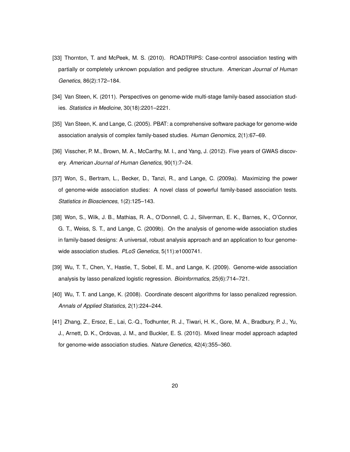- <span id="page-21-1"></span>[33] Thornton, T. and McPeek, M. S. (2010). ROADTRIPS: Case-control association testing with partially or completely unknown population and pedigree structure. *American Journal of Human Genetics*, 86(2):172–184.
- <span id="page-21-6"></span>[34] Van Steen, K. (2011). Perspectives on genome-wide multi-stage family-based association studies. *Statistics in Medicine*, 30(18):2201–2221.
- <span id="page-21-3"></span>[35] Van Steen, K. and Lange, C. (2005). PBAT: a comprehensive software package for genome-wide association analysis of complex family-based studies. *Human Genomics*, 2(1):67–69.
- <span id="page-21-0"></span>[36] Visscher, P. M., Brown, M. A., McCarthy, M. I., and Yang, J. (2012). Five years of GWAS discovery. *American Journal of Human Genetics*, 90(1):7–24.
- <span id="page-21-4"></span>[37] Won, S., Bertram, L., Becker, D., Tanzi, R., and Lange, C. (2009a). Maximizing the power of genome-wide association studies: A novel class of powerful family-based association tests. *Statistics in Biosciences*, 1(2):125–143.
- <span id="page-21-5"></span>[38] Won, S., Wilk, J. B., Mathias, R. A., O'Donnell, C. J., Silverman, E. K., Barnes, K., O'Connor, G. T., Weiss, S. T., and Lange, C. (2009b). On the analysis of genome-wide association studies in family-based designs: A universal, robust analysis approach and an application to four genomewide association studies. *PLoS Genetics*, 5(11):e1000741.
- <span id="page-21-8"></span>[39] Wu, T. T., Chen, Y., Hastie, T., Sobel, E. M., and Lange, K. (2009). Genome-wide association analysis by lasso penalized logistic regression. *Bioinformatics*, 25(6):714–721.
- <span id="page-21-7"></span>[40] Wu, T. T. and Lange, K. (2008). Coordinate descent algorithms for lasso penalized regression. *Annals of Applied Statistics*, 2(1):224–244.
- <span id="page-21-2"></span>[41] Zhang, Z., Ersoz, E., Lai, C.-Q., Todhunter, R. J., Tiwari, H. K., Gore, M. A., Bradbury, P. J., Yu, J., Arnett, D. K., Ordovas, J. M., and Buckler, E. S. (2010). Mixed linear model approach adapted for genome-wide association studies. *Nature Genetics*, 42(4):355–360.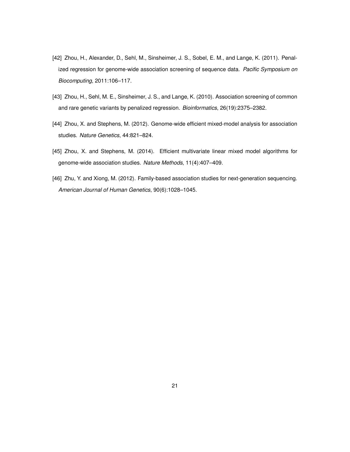- <span id="page-22-4"></span>[42] Zhou, H., Alexander, D., Sehl, M., Sinsheimer, J. S., Sobel, E. M., and Lange, K. (2011). Penalized regression for genome-wide association screening of sequence data. *Pacific Symposium on Biocomputing*, 2011:106–117.
- <span id="page-22-3"></span>[43] Zhou, H., Sehl, M. E., Sinsheimer, J. S., and Lange, K. (2010). Association screening of common and rare genetic variants by penalized regression. *Bioinformatics*, 26(19):2375–2382.
- <span id="page-22-1"></span>[44] Zhou, X. and Stephens, M. (2012). Genome-wide efficient mixed-model analysis for association studies. *Nature Genetics*, 44:821–824.
- <span id="page-22-2"></span>[45] Zhou, X. and Stephens, M. (2014). Efficient multivariate linear mixed model algorithms for genome-wide association studies. *Nature Methods*, 11(4):407–409.
- <span id="page-22-0"></span>[46] Zhu, Y. and Xiong, M. (2012). Family-based association studies for next-generation sequencing. *American Journal of Human Genetics*, 90(6):1028–1045.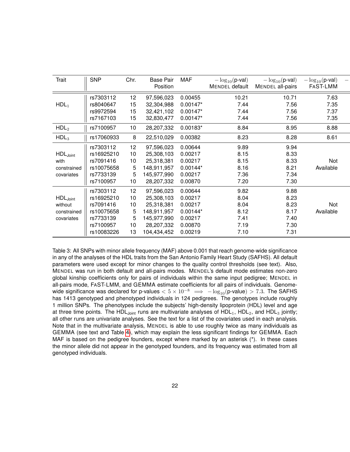| Trait                                                    | <b>SNP</b>                                                                                 | Chr.                                 | <b>Base Pair</b><br>Position                                                                      | <b>MAF</b>                                                                   | $-\log_{10}$ (p-val)<br>MENDEL default               | $-\log_{10}$ (p-val)<br>MENDEL all-pairs             | $-\log_{10}$ (p-val)<br><b>FAST-LMM</b> |
|----------------------------------------------------------|--------------------------------------------------------------------------------------------|--------------------------------------|---------------------------------------------------------------------------------------------------|------------------------------------------------------------------------------|------------------------------------------------------|------------------------------------------------------|-----------------------------------------|
| HDL <sub>1</sub>                                         | rs7303112<br>rs8040647<br>rs9972594<br>rs7167103                                           | 12<br>15<br>15<br>15                 | 97,596,023<br>32,304,988<br>32,421,102<br>32,830,477                                              | 0.00455<br>$0.00147*$<br>$0.00147*$<br>$0.00147*$                            | 10.21<br>7.44<br>7.44<br>7.44                        | 10.71<br>7.56<br>7.56<br>7.56                        | 7.63<br>7.35<br>7.37<br>7.35            |
| HDL <sub>2</sub>                                         | rs7100957                                                                                  | 10                                   | 28,207,332                                                                                        | $0.00183*$                                                                   | 8.84                                                 | 8.95                                                 | 8.88                                    |
| HDL <sub>3</sub>                                         | rs17060933                                                                                 | 8                                    | 22,510,029                                                                                        | 0.00382                                                                      | 8.23                                                 | 8.28                                                 | 8.61                                    |
| <b>HDL</b> Joint<br>with<br>constrained<br>covariates    | rs7303112<br>rs16925210<br>rs7091416<br>rs10075658<br>rs7733139<br>rs7100957               | 12<br>10<br>10<br>5<br>5<br>10       | 97,596,023<br>25,308,103<br>25,318,381<br>148,911,957<br>145,977,990<br>28,207,332                | 0.00644<br>0.00217<br>0.00217<br>$0.00144*$<br>0.00217<br>0.00870            | 9.89<br>8.15<br>8.15<br>8.16<br>7.36<br>7.20         | 9.94<br>8.33<br>8.33<br>8.21<br>7.34<br>7.30         | Not<br>Available                        |
| <b>HDL</b> Joint<br>without<br>constrained<br>covariates | rs7303112<br>rs16925210<br>rs7091416<br>rs10075658<br>rs7733139<br>rs7100957<br>rs10083226 | 12<br>10<br>10<br>5<br>5<br>10<br>13 | 97,596,023<br>25,308,103<br>25,318,381<br>148,911,957<br>145,977,990<br>28,207,332<br>104,434,452 | 0.00644<br>0.00217<br>0.00217<br>$0.00144*$<br>0.00217<br>0.00870<br>0.00219 | 9.82<br>8.04<br>8.04<br>8.12<br>7.41<br>7.19<br>7.10 | 9.88<br>8.23<br>8.23<br>8.17<br>7.40<br>7.30<br>7.31 | Not<br>Available                        |

<span id="page-23-0"></span>Table 3: All SNPs with minor allele frequency (MAF) above 0.001 that reach genome-wide significance in any of the analyses of the HDL traits from the San Antonio Family Heart Study (SAFHS). All default parameters were used except for minor changes to the quality control thresholds (see text). Also, MENDEL was run in both default and all-pairs modes. MENDEL's default mode estimates non-zero global kinship coefficients only for pairs of individuals within the same input pedigree; MENDEL in all-pairs mode, FAST-LMM, and GEMMA estimate coefficients for all pairs of individuals. Genomewide significance was declared for p-values  $< 5 \times 10^{-8} \implies -\log_{10}(p$ -value) > 7.3. The SAFHS has 1413 genotyped and phenotyped individuals in 124 pedigrees. The genotypes include roughly 1 million SNPs. The phenotypes include the subjects' high-density lipoprotein (HDL) level and age at three time points. The HDL $_{Joint}$  runs are multivariate analyses of HDL $_1$ , HDL $_2$ , and HDL $_3$  jointly; all other runs are univariate analyses. See the text for a list of the covariates used in each analysis. Note that in the multivariate analysis, MENDEL is able to use roughly twice as many individuals as GEMMA (see text and Table [4\)](#page-25-0), which may explain the less significant findings for GEMMA. Each MAF is based on the pedigree founders, except where marked by an asterisk (\*). In these cases the minor allele did not appear in the genotyped founders, and its frequency was estimated from all genotyped individuals.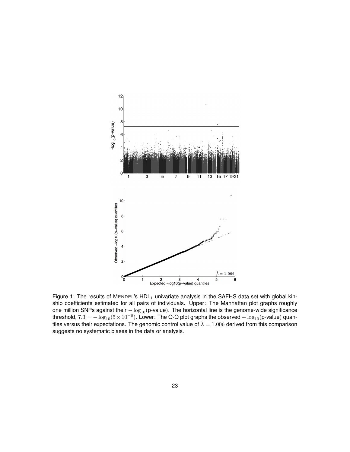

<span id="page-24-0"></span>Figure 1: The results of MENDEL's  $HDL<sub>1</sub>$  univariate analysis in the SAFHS data set with global kinship coefficients estimated for all pairs of individuals. Upper: The Manhattan plot graphs roughly one million SNPs against their  $-\log_{10}(\text{p-value})$ . The horizontal line is the genome-wide significance threshold,  $7.3 = -\log_{10}(5 \times 10^{-8})$ . Lower: The Q-Q plot graphs the observed  $-\log_{10}(\textsf{p-value})$  quantiles versus their expectations. The genomic control value of  $\hat{\lambda} = 1.006$  derived from this comparison suggests no systematic biases in the data or analysis.